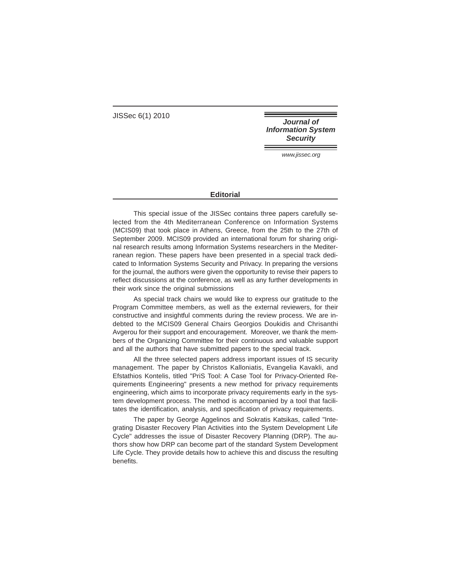JISSec 6(1) 2010

**Journal of Information System Security** 

www.jissec.org

## **Editorial**

This special issue of the JISSec contains three papers carefully selected from the 4th Mediterranean Conference on Information Systems (MCIS09) that took place in Athens, Greece, from the 25th to the 27th of September 2009. MCIS09 provided an international forum for sharing original research results among Information Systems researchers in the Mediterranean region. These papers have been presented in a special track dedicated to Information Systems Security and Privacy. In preparing the versions for the journal, the authors were given the opportunity to revise their papers to reflect discussions at the conference, as well as any further developments in their work since the original submissions

As special track chairs we would like to express our gratitude to the Program Committee members, as well as the external reviewers, for their constructive and insightful comments during the review process. We are indebted to the MCIS09 General Chairs Georgios Doukidis and Chrisanthi Avgerou for their support and encouragement. Moreover, we thank the members of the Organizing Committee for their continuous and valuable support and all the authors that have submitted papers to the special track.

All the three selected papers address important issues of IS security management. The paper by Christos Kalloniatis, Evangelia Kavakli, and Efstathios Kontelis, titled "PriS Tool: A Case Tool for Privacy-Oriented Requirements Engineering" presents a new method for privacy requirements engineering, which aims to incorporate privacy requirements early in the system development process. The method is accompanied by a tool that facilitates the identification, analysis, and specification of privacy requirements.

The paper by George Aggelinos and Sokratis Katsikas, called "Integrating Disaster Recovery Plan Activities into the System Development Life Cycle" addresses the issue of Disaster Recovery Planning (DRP). The authors show how DRP can become part of the standard System Development Life Cycle. They provide details how to achieve this and discuss the resulting benefits.